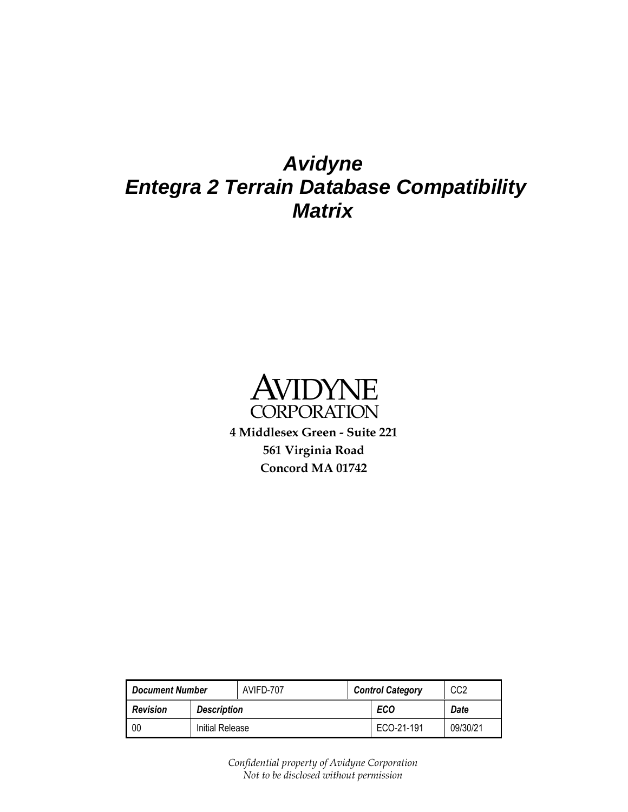## *Avidyne Entegra 2 Terrain Database Compatibility Matrix*



**4 Middlesex Green - Suite 221 561 Virginia Road Concord MA 01742**

<span id="page-0-0"></span>

| <b>Document Number</b> |                    | AVIFD-707 | <b>Control Category</b> | CC2      |
|------------------------|--------------------|-----------|-------------------------|----------|
| <b>Revision</b>        | <b>Description</b> |           | <b>ECO</b>              | Date     |
| 00                     | Initial Release    |           | ECO-21-191              | 09/30/21 |

<span id="page-0-1"></span>*Confidential property of Avidyne Corporation Not to be disclosed without permission*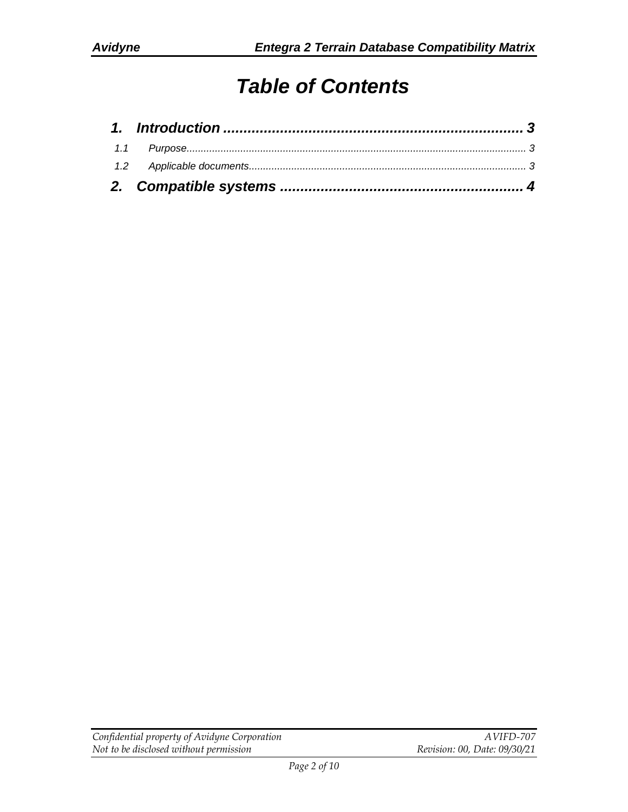# *Table of Contents*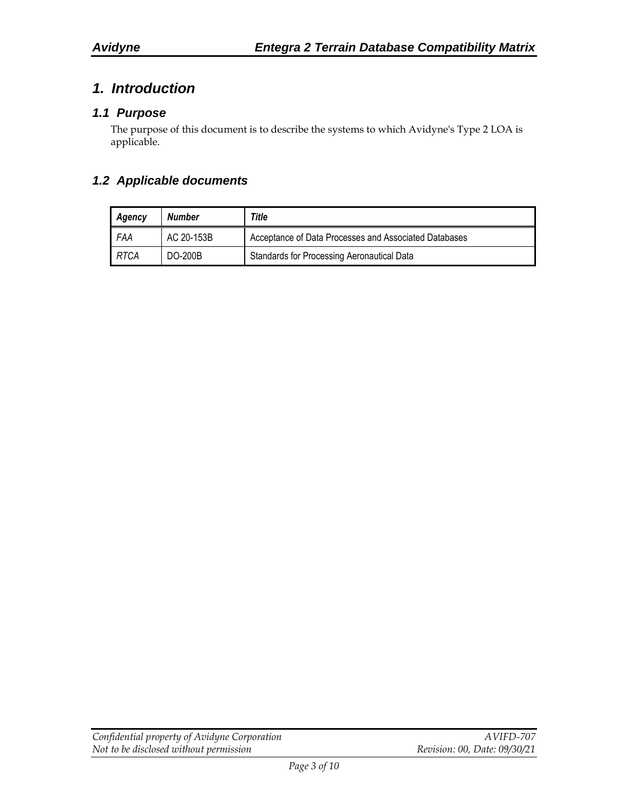## <span id="page-2-0"></span>*1. Introduction*

#### <span id="page-2-1"></span>*1.1 Purpose*

The purpose of this document is to describe the systems to which Avidyne's Type 2 LOA is applicable.

#### <span id="page-2-2"></span>*1.2 Applicable documents*

| Agency | Number     | Title                                                 |  |  |  |
|--------|------------|-------------------------------------------------------|--|--|--|
| FAA    | AC 20-153B | Acceptance of Data Processes and Associated Databases |  |  |  |
| RTCA   | DO-200B    | Standards for Processing Aeronautical Data            |  |  |  |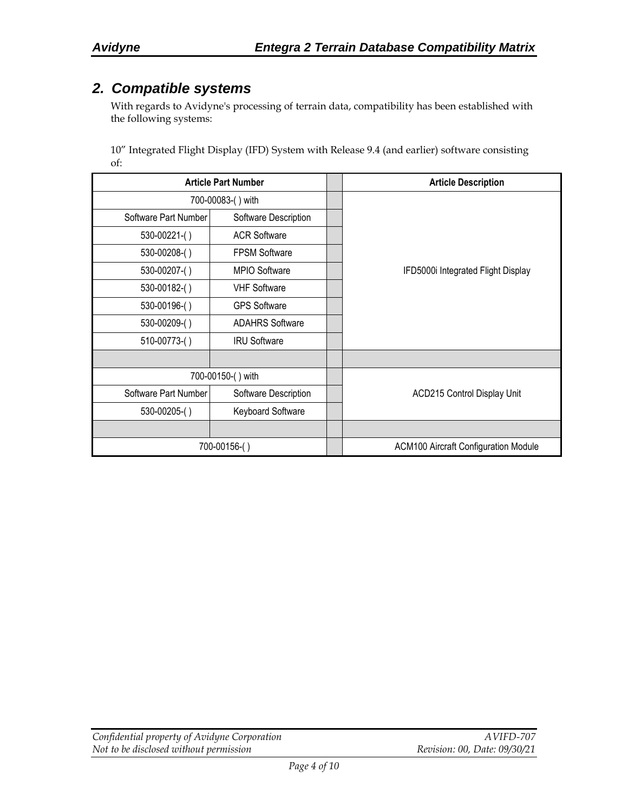### <span id="page-3-0"></span>*2. Compatible systems*

With regards to Avidyne's processing of terrain data, compatibility has been established with the following systems:

10" Integrated Flight Display (IFD) System with Release 9.4 (and earlier) software consisting of:

| <b>Article Part Number</b> |                        |  | <b>Article Description</b>                  |
|----------------------------|------------------------|--|---------------------------------------------|
|                            | 700-00083-() with      |  |                                             |
| Software Part Number       | Software Description   |  |                                             |
| $530-00221$ - $()$         | <b>ACR Software</b>    |  |                                             |
| 530-00208-()               | <b>FPSM Software</b>   |  |                                             |
| 530-00207-()               | MPIO Software          |  | IFD5000i Integrated Flight Display          |
| 530-00182-()               | <b>VHF Software</b>    |  |                                             |
| 530-00196-()               | <b>GPS Software</b>    |  |                                             |
| 530-00209-()               | <b>ADAHRS Software</b> |  |                                             |
| 510-00773-()               | <b>IRU Software</b>    |  |                                             |
|                            |                        |  |                                             |
|                            | 700-00150-() with      |  |                                             |
| Software Part Number       | Software Description   |  | ACD215 Control Display Unit                 |
| 530-00205-()               | Keyboard Software      |  |                                             |
|                            |                        |  |                                             |
|                            | 700-00156-()           |  | <b>ACM100 Aircraft Configuration Module</b> |

| Confidential property of Avidyne Corporation | A VIFD-707                   |
|----------------------------------------------|------------------------------|
| Not to be disclosed without permission       | Revision: 00, Date: 09/30/21 |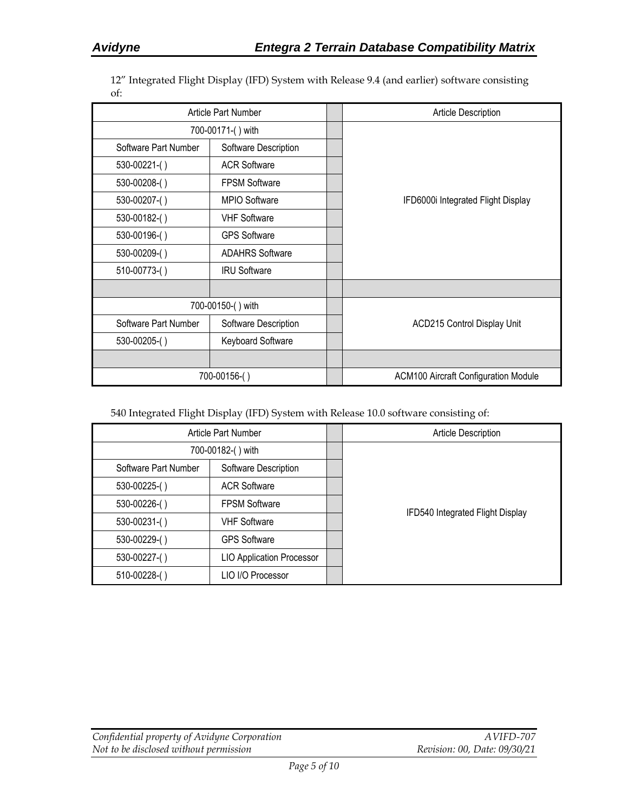12" Integrated Flight Display (IFD) System with Release 9.4 (and earlier) software consisting of:

| Article Part Number  |                        |  | <b>Article Description</b>                  |
|----------------------|------------------------|--|---------------------------------------------|
|                      | 700-00171-() with      |  |                                             |
| Software Part Number | Software Description   |  |                                             |
| $530-00221$ - $()$   | <b>ACR Software</b>    |  |                                             |
| 530-00208-()         | <b>FPSM Software</b>   |  |                                             |
| 530-00207-()         | MPIO Software          |  | IFD6000i Integrated Flight Display          |
| 530-00182-()         | <b>VHF Software</b>    |  |                                             |
| 530-00196-()         | <b>GPS Software</b>    |  |                                             |
| 530-00209-()         | <b>ADAHRS Software</b> |  |                                             |
| 510-00773-()         | <b>IRU Software</b>    |  |                                             |
|                      |                        |  |                                             |
|                      | 700-00150-() with      |  |                                             |
| Software Part Number | Software Description   |  | <b>ACD215 Control Display Unit</b>          |
| 530-00205-()         | Keyboard Software      |  |                                             |
|                      |                        |  |                                             |
|                      | 700-00156-()           |  | <b>ACM100 Aircraft Configuration Module</b> |

540 Integrated Flight Display (IFD) System with Release 10.0 software consisting of:

| Article Part Number  |                                  | Article Description              |
|----------------------|----------------------------------|----------------------------------|
| 700-00182-() with    |                                  |                                  |
| Software Part Number | Software Description             |                                  |
| 530-00225-()         | <b>ACR Software</b>              |                                  |
| 530-00226-()         | <b>FPSM Software</b>             |                                  |
| 530-00231-()         | <b>VHF Software</b>              | IFD540 Integrated Flight Display |
| 530-00229-()         | <b>GPS Software</b>              |                                  |
| 530-00227-()         | <b>LIO Application Processor</b> |                                  |
| 510-00228-()         | LIO I/O Processor                |                                  |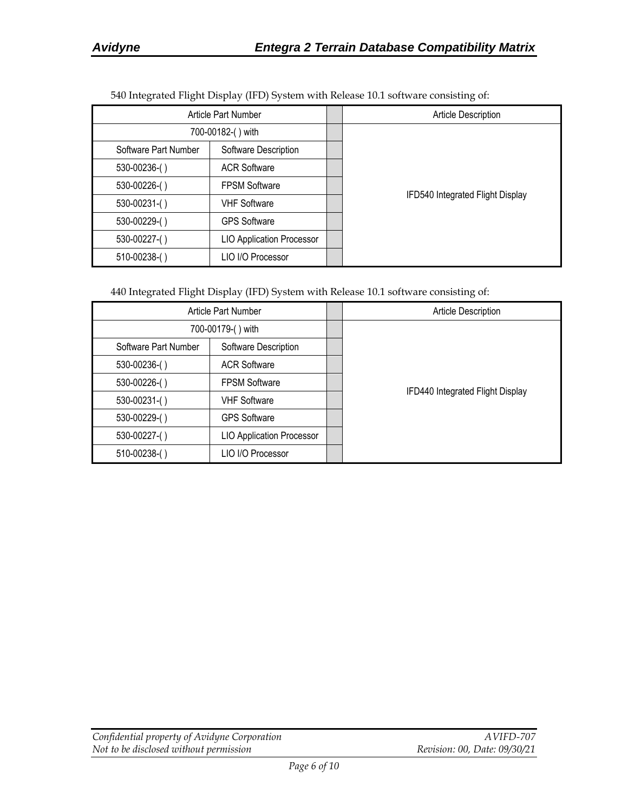| $\mathbf{r}$ is the set of $\mathbf{r}$ is the set of $\mathbf{r}$ |                                  |  |                                  |  |
|--------------------------------------------------------------------|----------------------------------|--|----------------------------------|--|
| Article Part Number                                                |                                  |  | Article Description              |  |
| 700-00182-() with                                                  |                                  |  |                                  |  |
| Software Part Number                                               | Software Description             |  |                                  |  |
| 530-00236-()                                                       | <b>ACR Software</b>              |  |                                  |  |
| 530-00226-()                                                       | <b>FPSM Software</b>             |  |                                  |  |
| $530 - 00231$ -()                                                  | <b>VHF Software</b>              |  | IFD540 Integrated Flight Display |  |
| 530-00229-()                                                       | <b>GPS Software</b>              |  |                                  |  |
| 530-00227-()                                                       | <b>LIO Application Processor</b> |  |                                  |  |
| $510-00238$ - $()$                                                 | LIO I/O Processor                |  |                                  |  |

540 Integrated Flight Display (IFD) System with Release 10.1 software consisting of:

440 Integrated Flight Display (IFD) System with Release 10.1 software consisting of:

| Article Part Number  |                                  | <b>Article Description</b>       |
|----------------------|----------------------------------|----------------------------------|
| 700-00179-() with    |                                  |                                  |
| Software Part Number | Software Description             |                                  |
| 530-00236-()         | <b>ACR Software</b>              |                                  |
| 530-00226-()         | <b>FPSM Software</b>             |                                  |
| $530 - 00231$ -()    | <b>VHF Software</b>              | IFD440 Integrated Flight Display |
| 530-00229-()         | <b>GPS Software</b>              |                                  |
| 530-00227-()         | <b>LIO Application Processor</b> |                                  |
| 510-00238-()         | LIO I/O Processor                |                                  |

| Confidential property of Avidyne Corporation | A VIFD-707                   |
|----------------------------------------------|------------------------------|
| Not to be disclosed without permission       | Revision: 00, Date: 09/30/21 |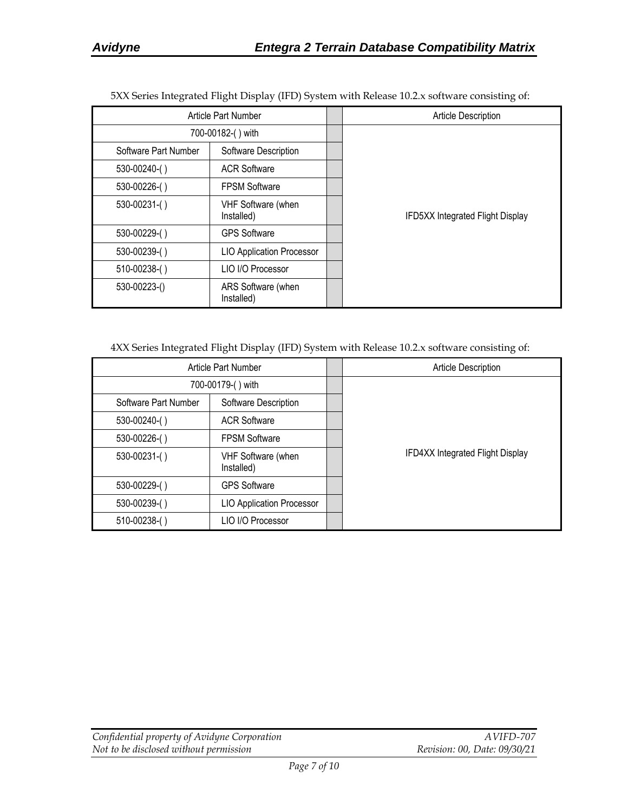|                            |                                  | $\overline{ }$                   |
|----------------------------|----------------------------------|----------------------------------|
| <b>Article Part Number</b> |                                  | Article Description              |
|                            | 700-00182-() with                |                                  |
| Software Part Number       | Software Description             |                                  |
| 530-00240-()               | <b>ACR Software</b>              |                                  |
| 530-00226-()               | <b>FPSM Software</b>             |                                  |
| 530-00231-()               | VHF Software (when<br>Installed) | IFD5XX Integrated Flight Display |
| 530-00229-()               | <b>GPS Software</b>              |                                  |
| 530-00239-()               | <b>LIO Application Processor</b> |                                  |
| 510-00238-()               | LIO I/O Processor                |                                  |
| 530-00223-()               | ARS Software (when<br>Installed) |                                  |

5XX Series Integrated Flight Display (IFD) System with Release 10.2.x software consisting of:

4XX Series Integrated Flight Display (IFD) System with Release 10.2.x software consisting of:

| Article Part Number  |                                  | <b>Article Description</b>              |
|----------------------|----------------------------------|-----------------------------------------|
|                      | 700-00179-() with                |                                         |
| Software Part Number | Software Description             |                                         |
| 530-00240-()         | <b>ACR Software</b>              |                                         |
| 530-00226-()         | <b>FPSM Software</b>             |                                         |
| $530-00231$ -()      | VHF Software (when<br>Installed) | <b>IFD4XX Integrated Flight Display</b> |
| 530-00229-()         | <b>GPS Software</b>              |                                         |
| 530-00239-()         | <b>LIO Application Processor</b> |                                         |
| $510-00238$ - $()$   | LIO I/O Processor                |                                         |

| Confidential property of Avidyne Corporation | AVIFD-707                    |
|----------------------------------------------|------------------------------|
| Not to be disclosed without permission       | Revision: 00, Date: 09/30/21 |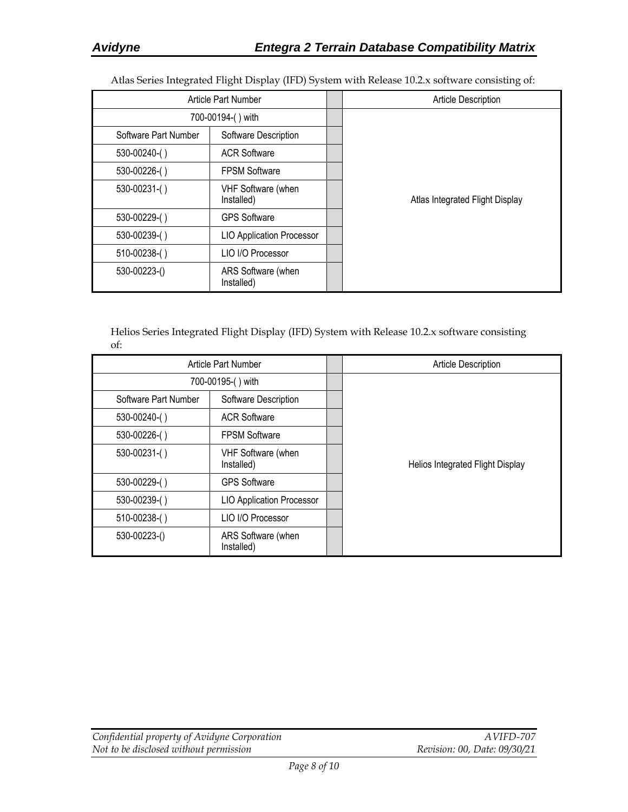Atlas Series Integrated Flight Display (IFD) System with Release 10.2.x software consisting of:

|                      | Article Part Number              | Article Description             |
|----------------------|----------------------------------|---------------------------------|
| 700-00194-() with    |                                  |                                 |
| Software Part Number | Software Description             |                                 |
| 530-00240-()         | <b>ACR Software</b>              |                                 |
| 530-00226-()         | <b>FPSM Software</b>             |                                 |
| 530-00231-()         | VHF Software (when<br>Installed) | Atlas Integrated Flight Display |
| 530-00229-()         | <b>GPS Software</b>              |                                 |
| 530-00239-()         | <b>LIO Application Processor</b> |                                 |
| 510-00238-()         | LIO I/O Processor                |                                 |
| 530-00223-()         | ARS Software (when<br>Installed) |                                 |

Helios Series Integrated Flight Display (IFD) System with Release 10.2.x software consisting of:

|                      | Article Part Number              | <b>Article Description</b>       |
|----------------------|----------------------------------|----------------------------------|
| 700-00195-() with    |                                  |                                  |
| Software Part Number | Software Description             |                                  |
| $530-00240$ - $()$   | <b>ACR Software</b>              |                                  |
| 530-00226-()         | <b>FPSM Software</b>             |                                  |
| 530-00231-()         | VHF Software (when<br>Installed) | Helios Integrated Flight Display |
| 530-00229-()         | <b>GPS Software</b>              |                                  |
| 530-00239-()         | <b>LIO Application Processor</b> |                                  |
| 510-00238-()         | LIO I/O Processor                |                                  |
| 530-00223-()         | ARS Software (when<br>Installed) |                                  |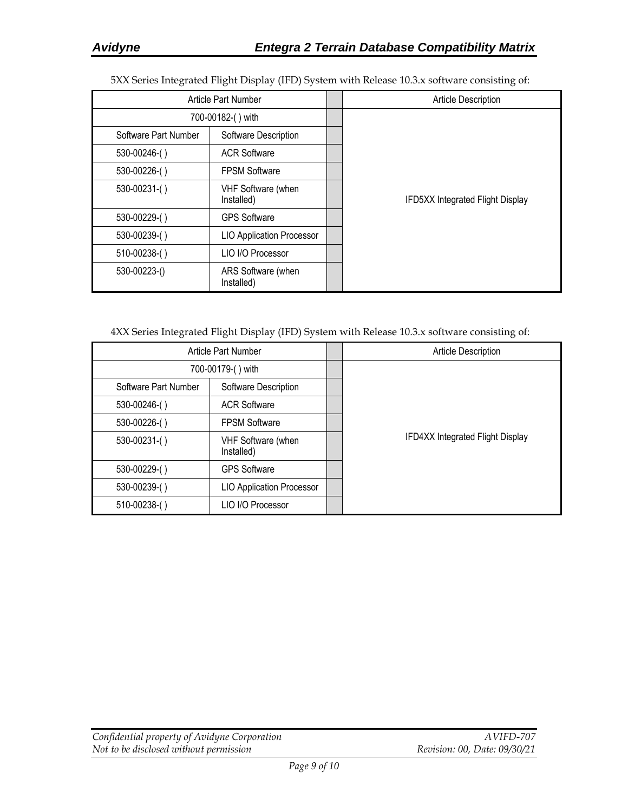5XX Series Integrated Flight Display (IFD) System with Release 10.3.x software consisting of:

|                      | Article Part Number              | <b>Article Description</b>              |
|----------------------|----------------------------------|-----------------------------------------|
| 700-00182-() with    |                                  |                                         |
| Software Part Number | Software Description             |                                         |
| 530-00246-()         | <b>ACR Software</b>              |                                         |
| 530-00226-()         | <b>FPSM Software</b>             |                                         |
| 530-00231-()         | VHF Software (when<br>Installed) | <b>IFD5XX Integrated Flight Display</b> |
| 530-00229-()         | <b>GPS Software</b>              |                                         |
| 530-00239-()         | <b>LIO Application Processor</b> |                                         |
| 510-00238-()         | LIO I/O Processor                |                                         |
| 530-00223-()         | ARS Software (when<br>Installed) |                                         |

4XX Series Integrated Flight Display (IFD) System with Release 10.3.x software consisting of:

|                      | Article Part Number              | <b>Article Description</b>              |
|----------------------|----------------------------------|-----------------------------------------|
| 700-00179-() with    |                                  |                                         |
| Software Part Number | Software Description             |                                         |
| 530-00246-()         | <b>ACR Software</b>              |                                         |
| 530-00226-()         | <b>FPSM Software</b>             |                                         |
| $530 - 00231$ -()    | VHF Software (when<br>Installed) | <b>IFD4XX Integrated Flight Display</b> |
| 530-00229-()         | <b>GPS Software</b>              |                                         |
| 530-00239-()         | <b>LIO Application Processor</b> |                                         |
| 510-00238-()         | LIO I/O Processor                |                                         |

| Confidential property of Avidyne Corporation | AVIFD-707                    |
|----------------------------------------------|------------------------------|
| Not to be disclosed without permission       | Revision: 00, Date: 09/30/21 |